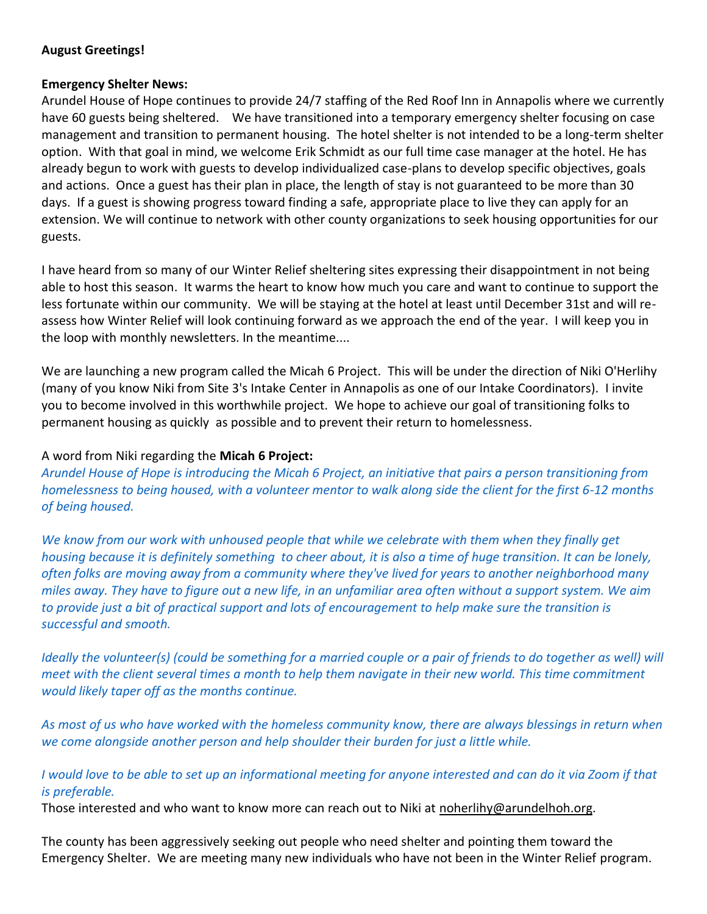# **August Greetings!**

#### **Emergency Shelter News:**

Arundel House of Hope continues to provide 24/7 staffing of the Red Roof Inn in Annapolis where we currently have 60 guests being sheltered. We have transitioned into a temporary emergency shelter focusing on case management and transition to permanent housing. The hotel shelter is not intended to be a long-term shelter option. With that goal in mind, we welcome Erik Schmidt as our full time case manager at the hotel. He has already begun to work with guests to develop individualized case-plans to develop specific objectives, goals and actions. Once a guest has their plan in place, the length of stay is not guaranteed to be more than 30 days. If a guest is showing progress toward finding a safe, appropriate place to live they can apply for an extension. We will continue to network with other county organizations to seek housing opportunities for our guests.

I have heard from so many of our Winter Relief sheltering sites expressing their disappointment in not being able to host this season. It warms the heart to know how much you care and want to continue to support the less fortunate within our community. We will be staying at the hotel at least until December 31st and will reassess how Winter Relief will look continuing forward as we approach the end of the year. I will keep you in the loop with monthly newsletters. In the meantime....

We are launching a new program called the Micah 6 Project. This will be under the direction of Niki O'Herlihy (many of you know Niki from Site 3's Intake Center in Annapolis as one of our Intake Coordinators). I invite you to become involved in this worthwhile project. We hope to achieve our goal of transitioning folks to permanent housing as quickly as possible and to prevent their return to homelessness.

### A word from Niki regarding the **Micah 6 Project:**

*Arundel House of Hope is introducing the Micah 6 Project, an initiative that pairs a person transitioning from homelessness to being housed, with a volunteer mentor to walk along side the client for the first 6-12 months of being housed.*

*We know from our work with unhoused people that while we celebrate with them when they finally get housing because it is definitely something to cheer about, it is also a time of huge transition. It can be lonely, often folks are moving away from a community where they've lived for years to another neighborhood many miles away. They have to figure out a new life, in an unfamiliar area often without a support system. We aim to provide just a bit of practical support and lots of encouragement to help make sure the transition is successful and smooth.*

*Ideally the volunteer(s) (could be something for a married couple or a pair of friends to do together as well) will meet with the client several times a month to help them navigate in their new world. This time commitment would likely taper off as the months continue.*

*As most of us who have worked with the homeless community know, there are always blessings in return when we come alongside another person and help shoulder their burden for just a little while.*

# *I would love to be able to set up an informational meeting for anyone interested and can do it via Zoom if that is preferable.*

Those interested and who want to know more can reach out to Niki at [noherlihy@arundelhoh.org.](mailto:noherlihy@arundelhoh.org)

The county has been aggressively seeking out people who need shelter and pointing them toward the Emergency Shelter. We are meeting many new individuals who have not been in the Winter Relief program.